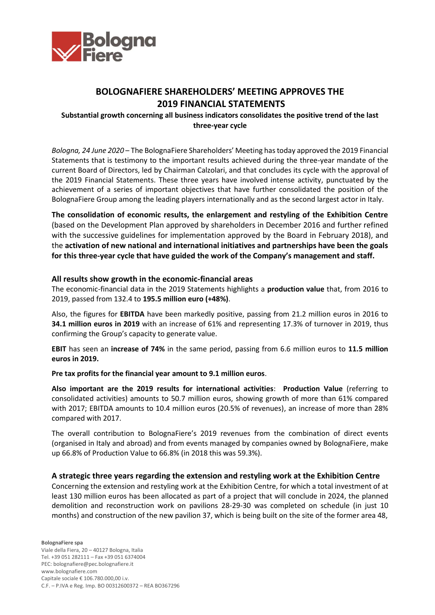

# **BOLOGNAFIERE SHAREHOLDERS' MEETING APPROVES THE 2019 FINANCIAL STATEMENTS**

# **Substantial growth concerning all business indicators consolidates the positive trend of the last three-year cycle**

*Bologna, 24 June 2020* – The BolognaFiere Shareholders' Meeting has today approved the 2019 Financial Statements that is testimony to the important results achieved during the three-year mandate of the current Board of Directors, led by Chairman Calzolari, and that concludes its cycle with the approval of the 2019 Financial Statements. These three years have involved intense activity, punctuated by the achievement of a series of important objectives that have further consolidated the position of the BolognaFiere Group among the leading players internationally and as the second largest actor in Italy.

**The consolidation of economic results, the enlargement and restyling of the Exhibition Centre** (based on the Development Plan approved by shareholders in December 2016 and further refined with the successive guidelines for implementation approved by the Board in February 2018), and the **activation of new national and international initiatives and partnerships have been the goals for this three-year cycle that have guided the work of the Company's management and staff.**

## **All results show growth in the economic-financial areas**

The economic-financial data in the 2019 Statements highlights a **production value** that, from 2016 to 2019, passed from 132.4 to **195.5 million euro (+48%)**.

Also, the figures for **EBITDA** have been markedly positive, passing from 21.2 million euros in 2016 to **34.1 million euros in 2019** with an increase of 61% and representing 17.3% of turnover in 2019, thus confirming the Group's capacity to generate value.

**EBIT** has seen an **increase of 74%** in the same period, passing from 6.6 million euros to **11.5 million euros in 2019.**

### **Pre tax profits for the financial year amount to 9.1 million euros**.

**Also important are the 2019 results for international activities**: **Production Value** (referring to consolidated activities) amounts to 50.7 million euros, showing growth of more than 61% compared with 2017; EBITDA amounts to 10.4 million euros (20.5% of revenues), an increase of more than 28% compared with 2017.

The overall contribution to BolognaFiere's 2019 revenues from the combination of direct events (organised in Italy and abroad) and from events managed by companies owned by BolognaFiere, make up 66.8% of Production Value to 66.8% (in 2018 this was 59.3%).

### **A strategic three years regarding the extension and restyling work at the Exhibition Centre**

Concerning the extension and restyling work at the Exhibition Centre, for which a total investment of at least 130 million euros has been allocated as part of a project that will conclude in 2024, the planned demolition and reconstruction work on pavilions 28-29-30 was completed on schedule (in just 10 months) and construction of the new pavilion 37, which is being built on the site of the former area 48,